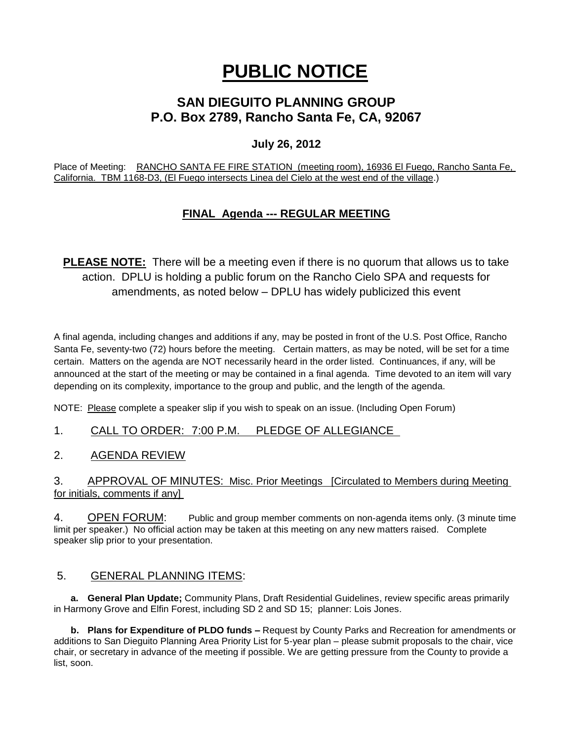# **PUBLIC NOTICE**

## **SAN DIEGUITO PLANNING GROUP P.O. Box 2789, Rancho Santa Fe, CA, 92067**

## **July 26, 2012**

Place of Meeting: RANCHO SANTA FE FIRE STATION (meeting room), 16936 El Fuego, Rancho Santa Fe, California. TBM 1168-D3, (El Fuego intersects Linea del Cielo at the west end of the village.)

## **FINAL Agenda --- REGULAR MEETING**

**PLEASE NOTE:** There will be a meeting even if there is no quorum that allows us to take action. DPLU is holding a public forum on the Rancho Cielo SPA and requests for amendments, as noted below – DPLU has widely publicized this event

A final agenda, including changes and additions if any, may be posted in front of the U.S. Post Office, Rancho Santa Fe, seventy-two (72) hours before the meeting. Certain matters, as may be noted, will be set for a time certain. Matters on the agenda are NOT necessarily heard in the order listed. Continuances, if any, will be announced at the start of the meeting or may be contained in a final agenda. Time devoted to an item will vary depending on its complexity, importance to the group and public, and the length of the agenda.

NOTE: Please complete a speaker slip if you wish to speak on an issue. (Including Open Forum)

1. CALL TO ORDER: 7:00 P.M. PLEDGE OF ALLEGIANCE

2. AGENDA REVIEW

3. APPROVAL OF MINUTES: Misc. Prior Meetings [Circulated to Members during Meeting for initials, comments if any]

4. OPEN FORUM: Public and group member comments on non-agenda items only. (3 minute time limit per speaker.) No official action may be taken at this meeting on any new matters raised. Complete speaker slip prior to your presentation.

### 5. GENERAL PLANNING ITEMS:

**a. General Plan Update;** Community Plans, Draft Residential Guidelines, review specific areas primarily in Harmony Grove and Elfin Forest, including SD 2 and SD 15; planner: Lois Jones.

**b. Plans for Expenditure of PLDO funds –** Request by County Parks and Recreation for amendments or additions to San Dieguito Planning Area Priority List for 5-year plan – please submit proposals to the chair, vice chair, or secretary in advance of the meeting if possible. We are getting pressure from the County to provide a list, soon.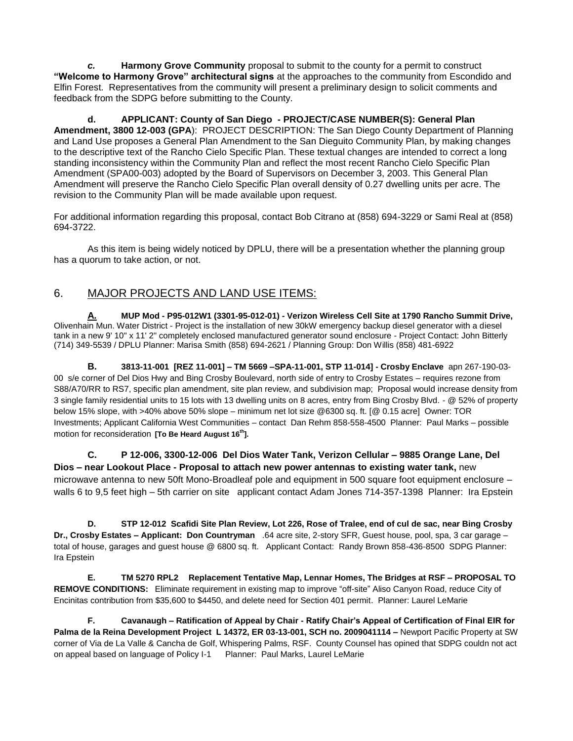*c.* **Harmony Grove Community** proposal to submit to the county for a permit to construct **"Welcome to Harmony Grove" architectural signs** at the approaches to the community from Escondido and Elfin Forest. Representatives from the community will present a preliminary design to solicit comments and feedback from the SDPG before submitting to the County.

**d. APPLICANT: County of San Diego - PROJECT/CASE NUMBER(S): General Plan Amendment, 3800 12-003 (GPA**): PROJECT DESCRIPTION: The San Diego County Department of Planning and Land Use proposes a General Plan Amendment to the San Dieguito Community Plan, by making changes to the descriptive text of the Rancho Cielo Specific Plan. These textual changes are intended to correct a long standing inconsistency within the Community Plan and reflect the most recent Rancho Cielo Specific Plan Amendment (SPA00-003) adopted by the Board of Supervisors on December 3, 2003. This General Plan Amendment will preserve the Rancho Cielo Specific Plan overall density of 0.27 dwelling units per acre. The revision to the Community Plan will be made available upon request.

For additional information regarding this proposal, contact Bob Citrano at (858) 694-3229 or Sami Real at (858) 694-3722.

As this item is being widely noticed by DPLU, there will be a presentation whether the planning group has a quorum to take action, or not.

## 6. MAJOR PROJECTS AND LAND USE ITEMS:

**A. MUP Mod - P95-012W1 (3301-95-012-01) - Verizon Wireless Cell Site at 1790 Rancho Summit Drive,**  Olivenhain Mun. Water District - Project is the installation of new 30kW emergency backup diesel generator with a diesel tank in a new 9' 10" x 11' 2" completely enclosed manufactured generator sound enclosure - Project Contact: John Bitterly (714) 349-5539 / DPLU Planner: Marisa Smith (858) 694-2621 / Planning Group: Don Willis (858) 481-6922

**B. 3813-11-001 [REZ 11-001] – TM 5669 –SPA-11-001, STP 11-014] - Crosby Enclave** apn 267-190-03- 00 s/e corner of Del Dios Hwy and Bing Crosby Boulevard, north side of entry to Crosby Estates – requires rezone from S88/A70/RR to RS7, specific plan amendment, site plan review, and subdivision map; Proposal would increase density from 3 single family residential units to 15 lots with 13 dwelling units on 8 acres, entry from Bing Crosby Blvd. - @ 52% of property below 15% slope, with >40% above 50% slope – minimum net lot size @6300 sq. ft. [@ 0.15 acre] Owner: TOR Investments; Applicant California West Communities – contact Dan Rehm 858-558-4500 Planner: Paul Marks – possible motion for reconsideration **[To Be Heard August 16th].**

**C. P 12-006, 3300-12-006 Del Dios Water Tank, Verizon Cellular – 9885 Orange Lane, Del Dios – near Lookout Place - Proposal to attach new power antennas to existing water tank,** new microwave antenna to new 50ft Mono-Broadleaf pole and equipment in 500 square foot equipment enclosure – walls 6 to 9,5 feet high – 5th carrier on site applicant contact Adam Jones 714-357-1398 Planner: Ira Epstein

**D. STP 12-012 Scafidi Site Plan Review, Lot 226, Rose of Tralee, end of cul de sac, near Bing Crosby Dr., Crosby Estates – Applicant: Don Countryman** .64 acre site, 2-story SFR, Guest house, pool, spa, 3 car garage – total of house, garages and guest house @ 6800 sq. ft. Applicant Contact: Randy Brown 858-436-8500 SDPG Planner: Ira Epstein

**E. TM 5270 RPL2 Replacement Tentative Map, Lennar Homes, The Bridges at RSF – PROPOSAL TO REMOVE CONDITIONS:** Eliminate requirement in existing map to improve "off-site" Aliso Canyon Road, reduce City of Encinitas contribution from \$35,600 to \$4450, and delete need for Section 401 permit. Planner: Laurel LeMarie

**F. Cavanaugh – Ratification of Appeal by Chair - Ratify Chair's Appeal of Certification of Final EIR for Palma de la Reina Development Project L 14372, ER 03-13-001, SCH no. 2009041114 –** Newport Pacific Property at SW corner of Via de La Valle & Cancha de Golf, Whispering Palms, RSF. County Counsel has opined that SDPG couldn not act on appeal based on language of Policy I-1 Planner: Paul Marks, Laurel LeMarie